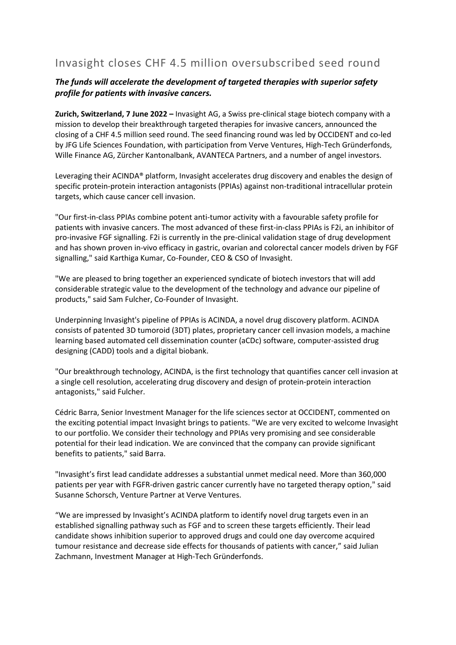# Invasight closes CHF 4.5 million oversubscribed seed round

# *The funds will accelerate the development of targeted therapies with superior safety profile for patients with invasive cancers.*

**Zurich, Switzerland, 7 June 2022 –** Invasight AG, a Swiss pre-clinical stage biotech company with a mission to develop their breakthrough targeted therapies for invasive cancers, announced the closing of a CHF 4.5 million seed round. The seed financing round was led by OCCIDENT and co-led by JFG Life Sciences Foundation, with participation from Verve Ventures, High-Tech Gründerfonds, Wille Finance AG, Zürcher Kantonalbank, AVANTECA Partners, and a number of angel investors.

Leveraging their ACINDA® platform, Invasight accelerates drug discovery and enables the design of specific protein-protein interaction antagonists (PPIAs) against non-traditional intracellular protein targets, which cause cancer cell invasion.

"Our first-in-class PPIAs combine potent anti-tumor activity with a favourable safety profile for patients with invasive cancers. The most advanced of these first-in-class PPIAs is F2i, an inhibitor of pro-invasive FGF signalling. F2i is currently in the pre-clinical validation stage of drug development and has shown proven in-vivo efficacy in gastric, ovarian and colorectal cancer models driven by FGF signalling," said Karthiga Kumar, Co-Founder, CEO & CSO of Invasight.

"We are pleased to bring together an experienced syndicate of biotech investors that will add considerable strategic value to the development of the technology and advance our pipeline of products," said Sam Fulcher, Co-Founder of Invasight.

Underpinning Invasight's pipeline of PPIAs is ACINDA, a novel drug discovery platform. ACINDA consists of patented 3D tumoroid (3DT) plates, proprietary cancer cell invasion models, a machine learning based automated cell dissemination counter (aCDc) software, computer-assisted drug designing (CADD) tools and a digital biobank.

"Our breakthrough technology, ACINDA, is the first technology that quantifies cancer cell invasion at a single cell resolution, accelerating drug discovery and design of protein-protein interaction antagonists," said Fulcher.

Cédric Barra, Senior Investment Manager for the life sciences sector at OCCIDENT, commented on the exciting potential impact Invasight brings to patients. "We are very excited to welcome Invasight to our portfolio. We consider their technology and PPIAs very promising and see considerable potential for their lead indication. We are convinced that the company can provide significant benefits to patients," said Barra.

"Invasight's first lead candidate addresses a substantial unmet medical need. More than 360,000 patients per year with FGFR-driven gastric cancer currently have no targeted therapy option," said Susanne Schorsch, Venture Partner at Verve Ventures.

"We are impressed by Invasight's ACINDA platform to identify novel drug targets even in an established signalling pathway such as FGF and to screen these targets efficiently. Their lead candidate shows inhibition superior to approved drugs and could one day overcome acquired tumour resistance and decrease side effects for thousands of patients with cancer," said Julian Zachmann, Investment Manager at High-Tech Gründerfonds.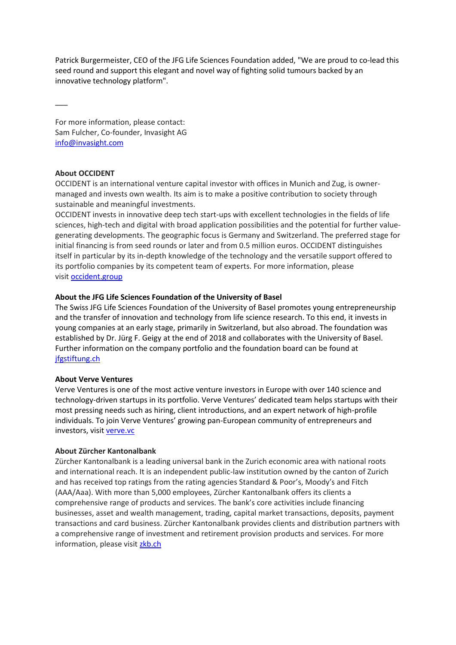Patrick Burgermeister, CEO of the JFG Life Sciences Foundation added, "We are proud to co-lead this seed round and support this elegant and novel way of fighting solid tumours backed by an innovative technology platform".

For more information, please contact: Sam Fulcher, Co-founder, Invasight AG [info@invasight.com](mailto:info@invasight.com)

# **About OCCIDENT**

 $\overline{\phantom{a}}$ 

OCCIDENT is an international venture capital investor with offices in Munich and Zug, is ownermanaged and invests own wealth. Its aim is to make a positive contribution to society through sustainable and meaningful investments.

OCCIDENT invests in innovative deep tech start-ups with excellent technologies in the fields of life sciences, high-tech and digital with broad application possibilities and the potential for further valuegenerating developments. The geographic focus is Germany and Switzerland. The preferred stage for initial financing is from seed rounds or later and from 0.5 million euros. OCCIDENT distinguishes itself in particular by its in-depth knowledge of the technology and the versatile support offered to its portfolio companies by its competent team of experts. For more information, please visit [occident.group](https://www.occident.group/)

# **About the JFG Life Sciences Foundation of the University of Basel**

The Swiss JFG Life Sciences Foundation of the University of Basel promotes young entrepreneurship and the transfer of innovation and technology from life science research. To this end, it invests in young companies at an early stage, primarily in Switzerland, but also abroad. The foundation was established by Dr. Jürg F. Geigy at the end of 2018 and collaborates with the University of Basel. Further information on the company portfolio and the foundation board can be found at [jfgstiftung.ch](https://www.jfgstiftung.ch/)

#### **About Verve Ventures**

Verve Ventures is one of the most active venture investors in Europe with over 140 science and technology-driven startups in its portfolio. Verve Ventures' dedicated team helps startups with their most pressing needs such as hiring, client introductions, and an expert network of high-profile individuals. To join Verve Ventures' growing pan-European community of entrepreneurs and investors, visit [verve.vc](https://www.verve.vc/)

#### **About Zürcher Kantonalbank**

Zürcher Kantonalbank is a leading universal bank in the Zurich economic area with national roots and international reach. It is an independent public-law institution owned by the canton of Zurich and has received top ratings from the rating agencies Standard & Poor's, Moody's and Fitch (AAA/Aaa). With more than 5,000 employees, Zürcher Kantonalbank offers its clients a comprehensive range of products and services. The bank's core activities include financing businesses, asset and wealth management, trading, capital market transactions, deposits, payment transactions and card business. Zürcher Kantonalbank provides clients and distribution partners with a comprehensive range of investment and retirement provision products and services. For more information, please visit [zkb.ch](https://www.zkb.ch/)